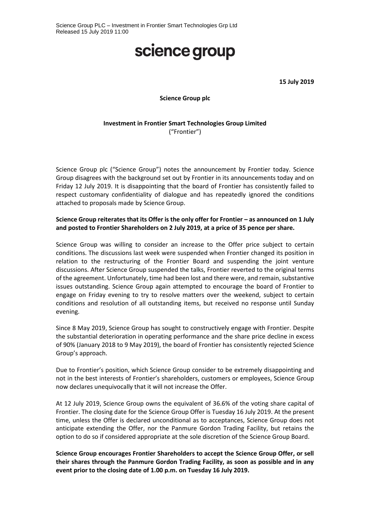## science group

**15 July 2019**

#### **Science Group plc**

### **Investment in Frontier Smart Technologies Group Limited** ("Frontier")

Science Group plc ("Science Group") notes the announcement by Frontier today. Science Group disagrees with the background set out by Frontier in its announcements today and on Friday 12 July 2019. It is disappointing that the board of Frontier has consistently failed to respect customary confidentiality of dialogue and has repeatedly ignored the conditions attached to proposals made by Science Group.

### **Science Group reiterates that its Offer is the only offer for Frontier – as announced on 1 July and posted to Frontier Shareholders on 2 July 2019, at a price of 35 pence per share.**

Science Group was willing to consider an increase to the Offer price subject to certain conditions. The discussions last week were suspended when Frontier changed its position in relation to the restructuring of the Frontier Board and suspending the joint venture discussions. After Science Group suspended the talks, Frontier reverted to the original terms of the agreement. Unfortunately, time had been lost and there were, and remain, substantive issues outstanding. Science Group again attempted to encourage the board of Frontier to engage on Friday evening to try to resolve matters over the weekend, subject to certain conditions and resolution of all outstanding items, but received no response until Sunday evening.

Since 8 May 2019, Science Group has sought to constructively engage with Frontier. Despite the substantial deterioration in operating performance and the share price decline in excess of 90% (January 2018 to 9 May 2019), the board of Frontier has consistently rejected Science Group's approach.

Due to Frontier's position, which Science Group consider to be extremely disappointing and not in the best interests of Frontier's shareholders, customers or employees, Science Group now declares unequivocally that it will not increase the Offer.

At 12 July 2019, Science Group owns the equivalent of 36.6% of the voting share capital of Frontier. The closing date for the Science Group Offer is Tuesday 16 July 2019. At the present time, unless the Offer is declared unconditional as to acceptances, Science Group does not anticipate extending the Offer, nor the Panmure Gordon Trading Facility, but retains the option to do so if considered appropriate at the sole discretion of the Science Group Board.

**Science Group encourages Frontier Shareholders to accept the Science Group Offer, or sell their shares through the Panmure Gordon Trading Facility, as soon as possible and in any event prior to the closing date of 1.00 p.m. on Tuesday 16 July 2019.**